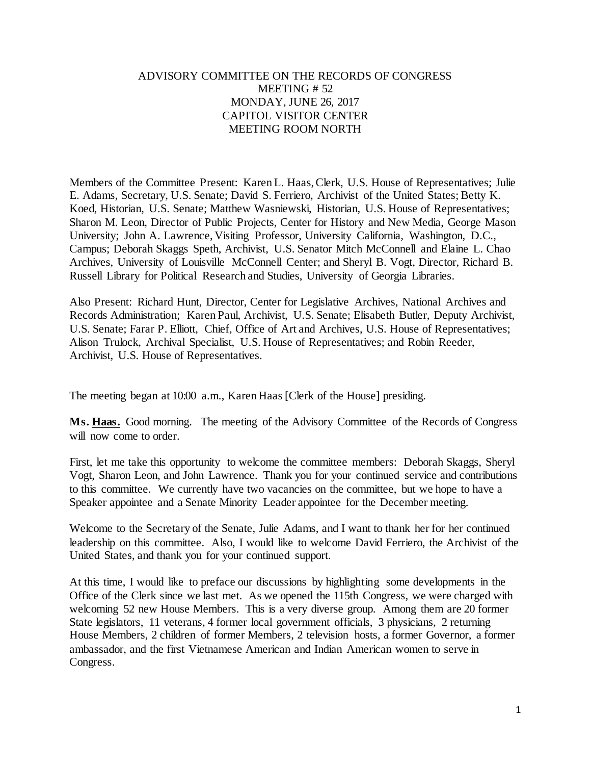## ADVISORY COMMITTEE ON THE RECORDS OF CONGRESS MEETING # 52 MONDAY, JUNE 26, 2017 CAPITOL VISITOR CENTER MEETING ROOM NORTH

Members of the Committee Present: Karen L. Haas, Clerk, U.S. House of Representatives; Julie E. Adams, Secretary, U.S. Senate; David S. Ferriero, Archivist of the United States; Betty K. Koed, Historian, U.S. Senate; Matthew Wasniewski, Historian, U.S. House of Representatives; Sharon M. Leon, Director of Public Projects, Center for History and New Media, George Mason University; John A. Lawrence, Visiting Professor, University California, Washington, D.C., Campus; Deborah Skaggs Speth, Archivist, U.S. Senator Mitch McConnell and Elaine L. Chao Archives, University of Louisville McConnell Center; and Sheryl B. Vogt, Director, Richard B. Russell Library for Political Research and Studies, University of Georgia Libraries.

Also Present: Richard Hunt, Director, Center for Legislative Archives, National Archives and Records Administration; Karen Paul, Archivist, U.S. Senate; Elisabeth Butler, Deputy Archivist, U.S. Senate; Farar P. Elliott, Chief, Office of Art and Archives, U.S. House of Representatives; Alison Trulock, Archival Specialist, U.S. House of Representatives; and Robin Reeder, Archivist, U.S. House of Representatives.

The meeting began at 10:00 a.m., Karen Haas [Clerk of the House] presiding.

**Ms. Haas.** Good morning. The meeting of the Advisory Committee of the Records of Congress will now come to order.

First, let me take this opportunity to welcome the committee members: Deborah Skaggs, Sheryl Vogt, Sharon Leon, and John Lawrence. Thank you for your continued service and contributions to this committee. We currently have two vacancies on the committee, but we hope to have a Speaker appointee and a Senate Minority Leader appointee for the December meeting.

Welcome to the Secretary of the Senate, Julie Adams, and I want to thank her for her continued leadership on this committee. Also, I would like to welcome David Ferriero, the Archivist of the United States, and thank you for your continued support.

At this time, I would like to preface our discussions by highlighting some developments in the Office of the Clerk since we last met. As we opened the 115th Congress, we were charged with welcoming 52 new House Members. This is a very diverse group. Among them are 20 former State legislators, 11 veterans, 4 former local government officials, 3 physicians, 2 returning House Members, 2 children of former Members, 2 television hosts, a former Governor, a former ambassador, and the first Vietnamese American and Indian American women to serve in Congress.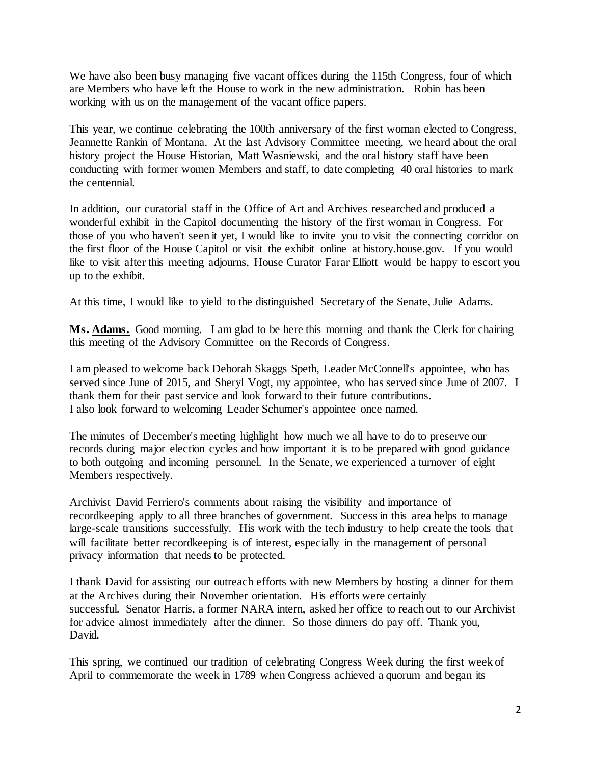We have also been busy managing five vacant offices during the 115th Congress, four of which are Members who have left the House to work in the new administration. Robin has been working with us on the management of the vacant office papers.

This year, we continue celebrating the 100th anniversary of the first woman elected to Congress, Jeannette Rankin of Montana. At the last Advisory Committee meeting, we heard about the oral history project the House Historian, Matt Wasniewski, and the oral history staff have been conducting with former women Members and staff, to date completing 40 oral histories to mark the centennial.

In addition, our curatorial staff in the Office of Art and Archives researched and produced a wonderful exhibit in the Capitol documenting the history of the first woman in Congress. For those of you who haven't seen it yet, I would like to invite you to visit the connecting corridor on the first floor of the House Capitol or visit the exhibit online at history.house.gov. If you would like to visit after this meeting adjourns, House Curator Farar Elliott would be happy to escort you up to the exhibit.

At this time, I would like to yield to the distinguished Secretary of the Senate, Julie Adams.

Ms. Adams. Good morning. I am glad to be here this morning and thank the Clerk for chairing this meeting of the Advisory Committee on the Records of Congress.

I am pleased to welcome back Deborah Skaggs Speth, Leader McConnell's appointee, who has served since June of 2015, and Sheryl Vogt, my appointee, who has served since June of 2007. I thank them for their past service and look forward to their future contributions. I also look forward to welcoming Leader Schumer's appointee once named.

The minutes of December's meeting highlight how much we all have to do to preserve our records during major election cycles and how important it is to be prepared with good guidance to both outgoing and incoming personnel. In the Senate, we experienced a turnover of eight Members respectively.

Archivist David Ferriero's comments about raising the visibility and importance of recordkeeping apply to all three branches of government. Success in this area helps to manage large-scale transitions successfully. His work with the tech industry to help create the tools that will facilitate better recordkeeping is of interest, especially in the management of personal privacy information that needs to be protected.

I thank David for assisting our outreach efforts with new Members by hosting a dinner for them at the Archives during their November orientation. His efforts were certainly successful. Senator Harris, a former NARA intern, asked her office to reach out to our Archivist for advice almost immediately after the dinner. So those dinners do pay off. Thank you, David.

This spring, we continued our tradition of celebrating Congress Week during the first week of April to commemorate the week in 1789 when Congress achieved a quorum and began its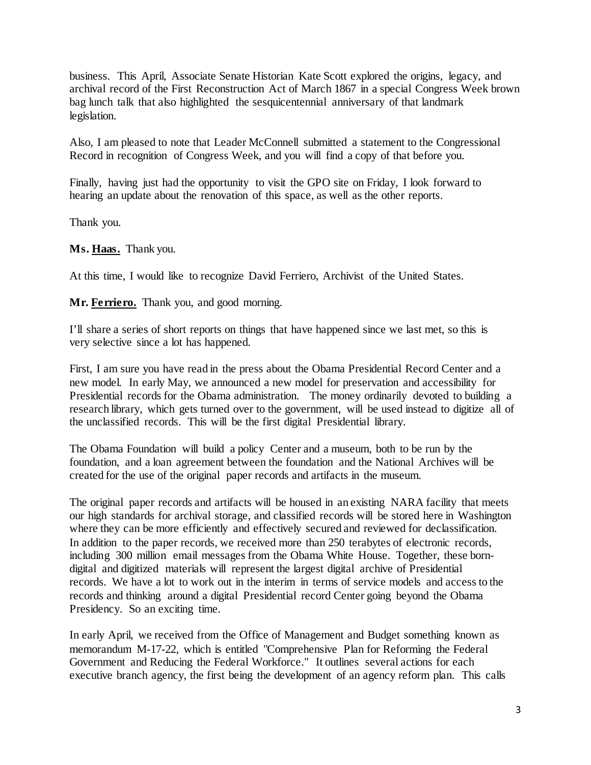business. This April, Associate Senate Historian Kate Scott explored the origins, legacy, and archival record of the First Reconstruction Act of March 1867 in a special Congress Week brown bag lunch talk that also highlighted the sesquicentennial anniversary of that landmark legislation.

Also, I am pleased to note that Leader McConnell submitted a statement to the Congressional Record in recognition of Congress Week, and you will find a copy of that before you.

Finally, having just had the opportunity to visit the GPO site on Friday, I look forward to hearing an update about the renovation of this space, as well as the other reports.

Thank you.

**Ms. Haas.** Thank you.

At this time, I would like to recognize David Ferriero, Archivist of the United States.

**Mr. Ferriero.** Thank you, and good morning.

I'll share a series of short reports on things that have happened since we last met, so this is very selective since a lot has happened.

First, I am sure you have read in the press about the Obama Presidential Record Center and a new model. In early May, we announced a new model for preservation and accessibility for Presidential records for the Obama administration. The money ordinarily devoted to building a research library, which gets turned over to the government, will be used instead to digitize all of the unclassified records. This will be the first digital Presidential library.

The Obama Foundation will build a policy Center and a museum, both to be run by the foundation, and a loan agreement between the foundation and the National Archives will be created for the use of the original paper records and artifacts in the museum.

The original paper records and artifacts will be housed in an existing NARA facility that meets our high standards for archival storage, and classified records will be stored here in Washington where they can be more efficiently and effectively secured and reviewed for declassification. In addition to the paper records, we received more than 250 terabytes of electronic records, including 300 million email messages from the Obama White House. Together, these borndigital and digitized materials will represent the largest digital archive of Presidential records. We have a lot to work out in the interim in terms of service models and access to the records and thinking around a digital Presidential record Center going beyond the Obama Presidency. So an exciting time.

In early April, we received from the Office of Management and Budget something known as memorandum M-17-22, which is entitled "Comprehensive Plan for Reforming the Federal Government and Reducing the Federal Workforce." It outlines several actions for each executive branch agency, the first being the development of an agency reform plan. This calls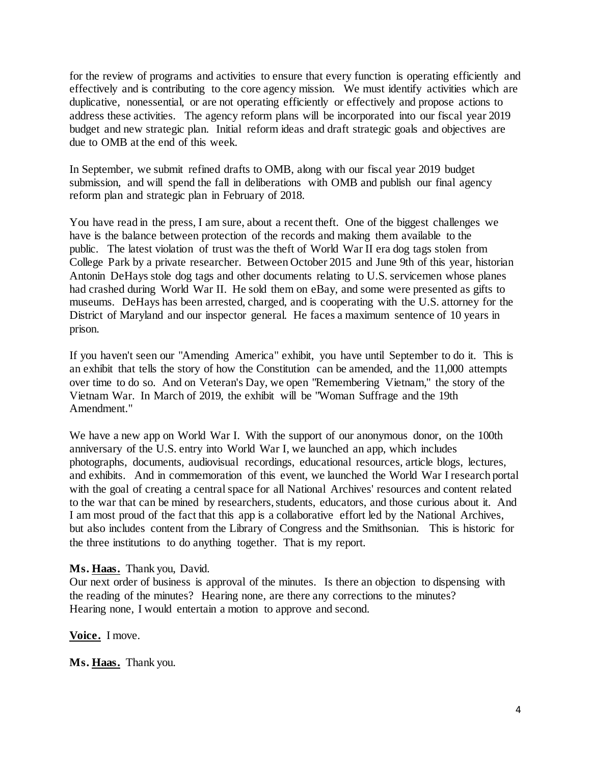for the review of programs and activities to ensure that every function is operating efficiently and effectively and is contributing to the core agency mission. We must identify activities which are duplicative, nonessential, or are not operating efficiently or effectively and propose actions to address these activities. The agency reform plans will be incorporated into our fiscal year 2019 budget and new strategic plan. Initial reform ideas and draft strategic goals and objectives are due to OMB at the end of this week.

In September, we submit refined drafts to OMB, along with our fiscal year 2019 budget submission, and will spend the fall in deliberations with OMB and publish our final agency reform plan and strategic plan in February of 2018.

You have read in the press, I am sure, about a recent theft. One of the biggest challenges we have is the balance between protection of the records and making them available to the public. The latest violation of trust was the theft of World War II era dog tags stolen from College Park by a private researcher. Between October 2015 and June 9th of this year, historian Antonin DeHays stole dog tags and other documents relating to U.S. servicemen whose planes had crashed during World War II. He sold them on eBay, and some were presented as gifts to museums. DeHays has been arrested, charged, and is cooperating with the U.S. attorney for the District of Maryland and our inspector general. He faces a maximum sentence of 10 years in prison.

If you haven't seen our "Amending America" exhibit, you have until September to do it. This is an exhibit that tells the story of how the Constitution can be amended, and the 11,000 attempts over time to do so. And on Veteran's Day, we open "Remembering Vietnam," the story of the Vietnam War. In March of 2019, the exhibit will be "Woman Suffrage and the 19th Amendment."

We have a new app on World War I. With the support of our anonymous donor, on the 100th anniversary of the U.S. entry into World War I, we launched an app, which includes photographs, documents, audiovisual recordings, educational resources, article blogs, lectures, and exhibits. And in commemoration of this event, we launched the World War I research portal with the goal of creating a central space for all National Archives' resources and content related to the war that can be mined by researchers, students, educators, and those curious about it. And I am most proud of the fact that this app is a collaborative effort led by the National Archives, but also includes content from the Library of Congress and the Smithsonian. This is historic for the three institutions to do anything together. That is my report.

## **Ms. Haas.** Thank you, David.

Our next order of business is approval of the minutes. Is there an objection to dispensing with the reading of the minutes? Hearing none, are there any corrections to the minutes? Hearing none, I would entertain a motion to approve and second.

**Voice.** I move.

**Ms. Haas.** Thank you.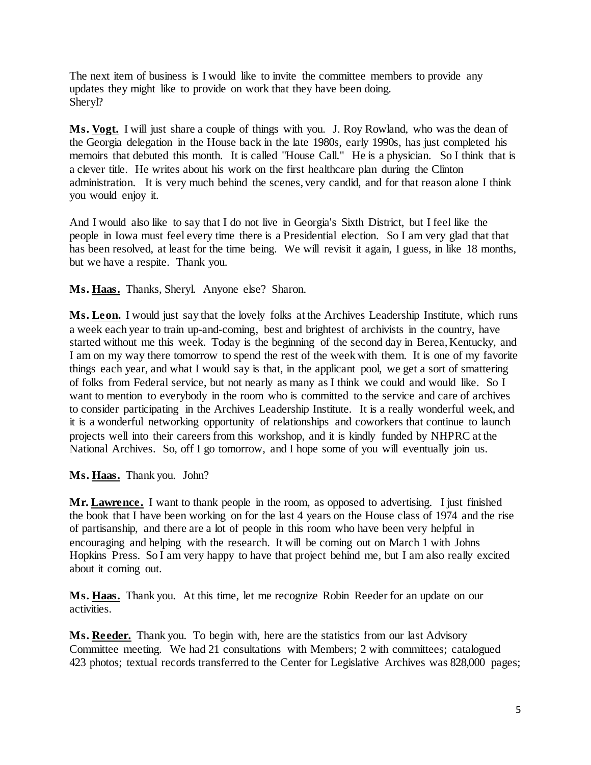The next item of business is I would like to invite the committee members to provide any updates they might like to provide on work that they have been doing. Sheryl?

Ms. Vogt. I will just share a couple of things with you. J. Roy Rowland, who was the dean of the Georgia delegation in the House back in the late 1980s, early 1990s, has just completed his memoirs that debuted this month. It is called "House Call." He is a physician. So I think that is a clever title. He writes about his work on the first healthcare plan during the Clinton administration. It is very much behind the scenes, very candid, and for that reason alone I think you would enjoy it.

And I would also like to say that I do not live in Georgia's Sixth District, but I feel like the people in Iowa must feel every time there is a Presidential election. So I am very glad that that has been resolved, at least for the time being. We will revisit it again, I guess, in like 18 months, but we have a respite. Thank you.

**Ms. Haas.** Thanks, Sheryl. Anyone else? Sharon.

**Ms. Leon.** I would just say that the lovely folks at the Archives Leadership Institute, which runs a week each year to train up-and-coming, best and brightest of archivists in the country, have started without me this week. Today is the beginning of the second day in Berea, Kentucky, and I am on my way there tomorrow to spend the rest of the week with them. It is one of my favorite things each year, and what I would say is that, in the applicant pool, we get a sort of smattering of folks from Federal service, but not nearly as many as I think we could and would like. So I want to mention to everybody in the room who is committed to the service and care of archives to consider participating in the Archives Leadership Institute. It is a really wonderful week, and it is a wonderful networking opportunity of relationships and coworkers that continue to launch projects well into their careers from this workshop, and it is kindly funded by NHPRC at the National Archives. So, off I go tomorrow, and I hope some of you will eventually join us.

**Ms. Haas.** Thank you. John?

Mr. Lawrence. I want to thank people in the room, as opposed to advertising. I just finished the book that I have been working on for the last 4 years on the House class of 1974 and the rise of partisanship, and there are a lot of people in this room who have been very helpful in encouraging and helping with the research. It will be coming out on March 1 with Johns Hopkins Press. So I am very happy to have that project behind me, but I am also really excited about it coming out.

**Ms. Haas.** Thank you. At this time, let me recognize Robin Reeder for an update on our activities.

**Ms. Reeder.** Thank you. To begin with, here are the statistics from our last Advisory Committee meeting. We had 21 consultations with Members; 2 with committees; catalogued 423 photos; textual records transferred to the Center for Legislative Archives was 828,000 pages;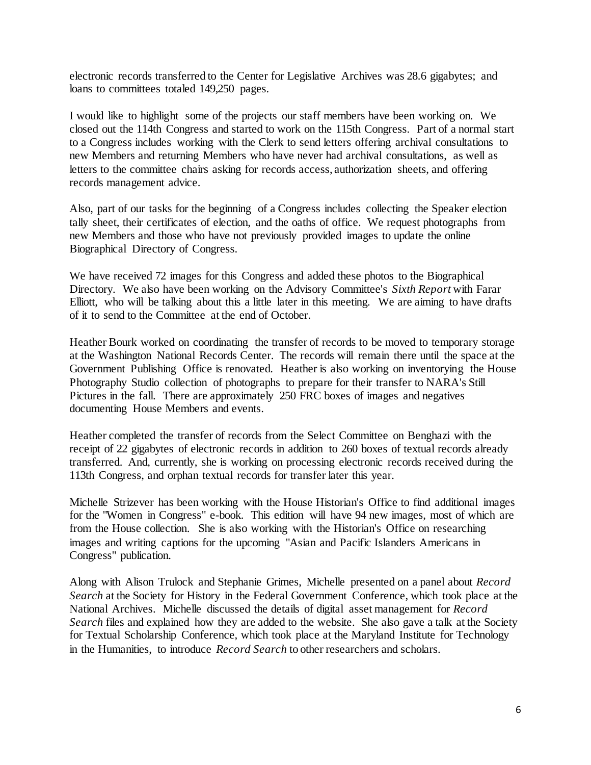electronic records transferred to the Center for Legislative Archives was 28.6 gigabytes; and loans to committees totaled 149,250 pages.

I would like to highlight some of the projects our staff members have been working on. We closed out the 114th Congress and started to work on the 115th Congress. Part of a normal start to a Congress includes working with the Clerk to send letters offering archival consultations to new Members and returning Members who have never had archival consultations, as well as letters to the committee chairs asking for records access, authorization sheets, and offering records management advice.

Also, part of our tasks for the beginning of a Congress includes collecting the Speaker election tally sheet, their certificates of election, and the oaths of office. We request photographs from new Members and those who have not previously provided images to update the online Biographical Directory of Congress.

We have received 72 images for this Congress and added these photos to the Biographical Directory. We also have been working on the Advisory Committee's *Sixth Report* with Farar Elliott, who will be talking about this a little later in this meeting. We are aiming to have drafts of it to send to the Committee at the end of October.

Heather Bourk worked on coordinating the transfer of records to be moved to temporary storage at the Washington National Records Center. The records will remain there until the space at the Government Publishing Office is renovated. Heather is also working on inventorying the House Photography Studio collection of photographs to prepare for their transfer to NARA's Still Pictures in the fall. There are approximately 250 FRC boxes of images and negatives documenting House Members and events.

Heather completed the transfer of records from the Select Committee on Benghazi with the receipt of 22 gigabytes of electronic records in addition to 260 boxes of textual records already transferred. And, currently, she is working on processing electronic records received during the 113th Congress, and orphan textual records for transfer later this year.

Michelle Strizever has been working with the House Historian's Office to find additional images for the "Women in Congress" e-book. This edition will have 94 new images, most of which are from the House collection. She is also working with the Historian's Office on researching images and writing captions for the upcoming "Asian and Pacific Islanders Americans in Congress" publication.

Along with Alison Trulock and Stephanie Grimes, Michelle presented on a panel about *Record Search* at the Society for History in the Federal Government Conference, which took place at the National Archives. Michelle discussed the details of digital asset management for *Record Search* files and explained how they are added to the website. She also gave a talk at the Society for Textual Scholarship Conference, which took place at the Maryland Institute for Technology in the Humanities, to introduce *Record Search* to other researchers and scholars.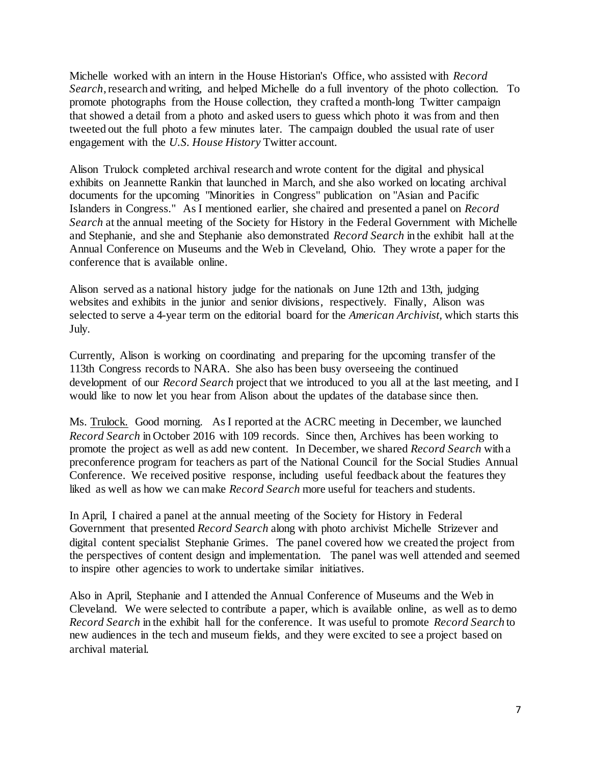Michelle worked with an intern in the House Historian's Office, who assisted with *Record Search*, research and writing, and helped Michelle do a full inventory of the photo collection. To promote photographs from the House collection, they crafted a month-long Twitter campaign that showed a detail from a photo and asked users to guess which photo it was from and then tweeted out the full photo a few minutes later. The campaign doubled the usual rate of user engagement with the *U.S. House History* Twitter account.

Alison Trulock completed archival research and wrote content for the digital and physical exhibits on Jeannette Rankin that launched in March, and she also worked on locating archival documents for the upcoming "Minorities in Congress" publication on "Asian and Pacific Islanders in Congress." As I mentioned earlier, she chaired and presented a panel on *Record Search* at the annual meeting of the Society for History in the Federal Government with Michelle and Stephanie, and she and Stephanie also demonstrated *Record Search* in the exhibit hall at the Annual Conference on Museums and the Web in Cleveland, Ohio. They wrote a paper for the conference that is available online.

Alison served as a national history judge for the nationals on June 12th and 13th, judging websites and exhibits in the junior and senior divisions, respectively. Finally, Alison was selected to serve a 4-year term on the editorial board for the *American Archivist,* which starts this July.

Currently, Alison is working on coordinating and preparing for the upcoming transfer of the 113th Congress records to NARA. She also has been busy overseeing the continued development of our *Record Search* project that we introduced to you all at the last meeting, and I would like to now let you hear from Alison about the updates of the database since then.

Ms. Trulock. Good morning. As I reported at the ACRC meeting in December, we launched *Record Search* in October 2016 with 109 records. Since then, Archives has been working to promote the project as well as add new content. In December, we shared *Record Search* with a preconference program for teachers as part of the National Council for the Social Studies Annual Conference. We received positive response, including useful feedback about the features they liked as well as how we can make *Record Search* more useful for teachers and students.

In April, I chaired a panel at the annual meeting of the Society for History in Federal Government that presented *Record Search* along with photo archivist Michelle Strizever and digital content specialist Stephanie Grimes. The panel covered how we created the project from the perspectives of content design and implementation. The panel was well attended and seemed to inspire other agencies to work to undertake similar initiatives.

Also in April, Stephanie and I attended the Annual Conference of Museums and the Web in Cleveland. We were selected to contribute a paper, which is available online, as well as to demo *Record Search* in the exhibit hall for the conference. It was useful to promote *Record Search* to new audiences in the tech and museum fields, and they were excited to see a project based on archival material.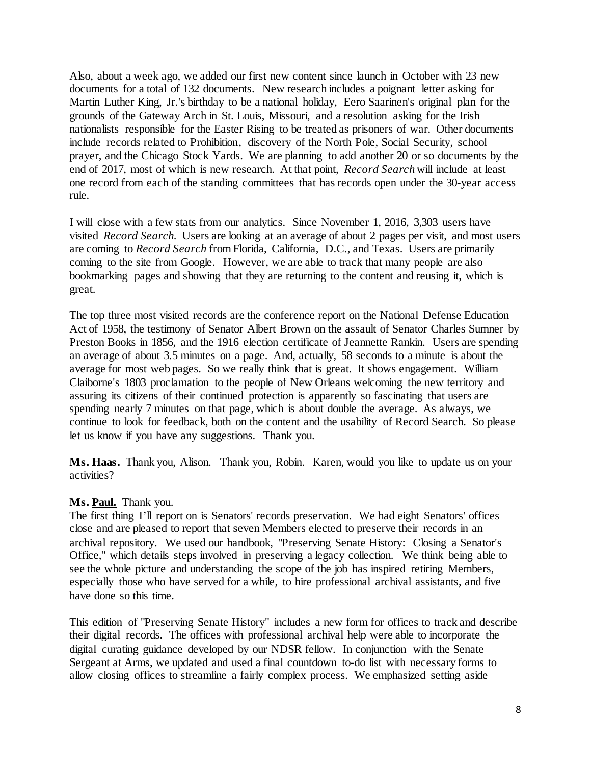Also, about a week ago, we added our first new content since launch in October with 23 new documents for a total of 132 documents. New research includes a poignant letter asking for Martin Luther King, Jr.'s birthday to be a national holiday, Eero Saarinen's original plan for the grounds of the Gateway Arch in St. Louis, Missouri, and a resolution asking for the Irish nationalists responsible for the Easter Rising to be treated as prisoners of war. Other documents include records related to Prohibition, discovery of the North Pole, Social Security, school prayer, and the Chicago Stock Yards. We are planning to add another 20 or so documents by the end of 2017, most of which is new research. At that point, *Record Search* will include at least one record from each of the standing committees that has records open under the 30-year access rule.

I will close with a few stats from our analytics. Since November 1, 2016, 3,303 users have visited *Record Search*. Users are looking at an average of about 2 pages per visit, and most users are coming to *Record Search* from Florida, California, D.C., and Texas. Users are primarily coming to the site from Google. However, we are able to track that many people are also bookmarking pages and showing that they are returning to the content and reusing it, which is great.

The top three most visited records are the conference report on the National Defense Education Act of 1958, the testimony of Senator Albert Brown on the assault of Senator Charles Sumner by Preston Books in 1856, and the 1916 election certificate of Jeannette Rankin. Users are spending an average of about 3.5 minutes on a page. And, actually, 58 seconds to a minute is about the average for most web pages. So we really think that is great. It shows engagement. William Claiborne's 1803 proclamation to the people of New Orleans welcoming the new territory and assuring its citizens of their continued protection is apparently so fascinating that users are spending nearly 7 minutes on that page, which is about double the average. As always, we continue to look for feedback, both on the content and the usability of Record Search. So please let us know if you have any suggestions. Thank you.

**Ms. Haas.** Thank you, Alison. Thank you, Robin. Karen, would you like to update us on your activities?

## **Ms. Paul.** Thank you.

The first thing I'll report on is Senators' records preservation. We had eight Senators' offices close and are pleased to report that seven Members elected to preserve their records in an archival repository. We used our handbook, "Preserving Senate History: Closing a Senator's Office," which details steps involved in preserving a legacy collection. We think being able to see the whole picture and understanding the scope of the job has inspired retiring Members, especially those who have served for a while, to hire professional archival assistants, and five have done so this time.

This edition of "Preserving Senate History" includes a new form for offices to track and describe their digital records. The offices with professional archival help were able to incorporate the digital curating guidance developed by our NDSR fellow. In conjunction with the Senate Sergeant at Arms, we updated and used a final countdown to-do list with necessary forms to allow closing offices to streamline a fairly complex process. We emphasized setting aside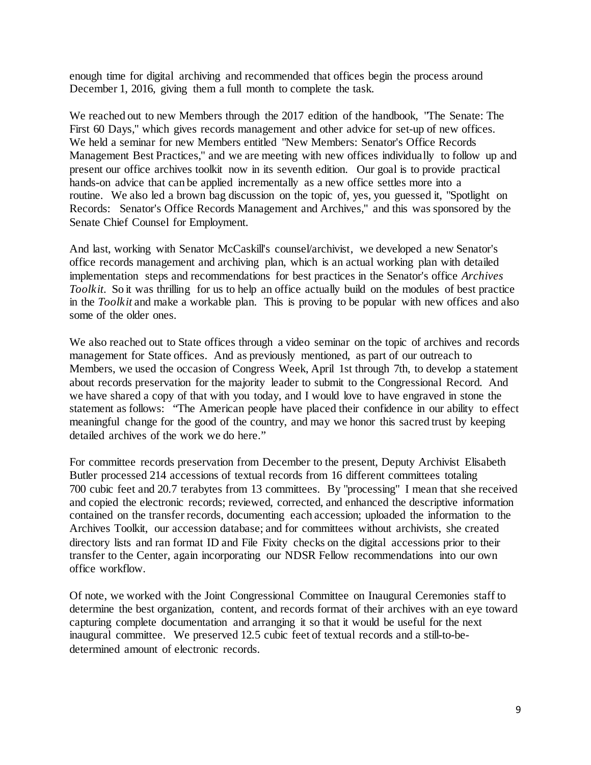enough time for digital archiving and recommended that offices begin the process around December 1, 2016, giving them a full month to complete the task.

We reached out to new Members through the 2017 edition of the handbook, "The Senate: The First 60 Days," which gives records management and other advice for set-up of new offices. We held a seminar for new Members entitled "New Members: Senator's Office Records Management Best Practices," and we are meeting with new offices individually to follow up and present our office archives toolkit now in its seventh edition. Our goal is to provide practical hands-on advice that can be applied incrementally as a new office settles more into a routine. We also led a brown bag discussion on the topic of, yes, you guessed it, "Spotlight on Records: Senator's Office Records Management and Archives," and this was sponsored by the Senate Chief Counsel for Employment.

And last, working with Senator McCaskill's counsel/archivist, we developed a new Senator's office records management and archiving plan, which is an actual working plan with detailed implementation steps and recommendations for best practices in the Senator's office *Archives Toolkit*. So it was thrilling for us to help an office actually build on the modules of best practice in the *Toolkit* and make a workable plan. This is proving to be popular with new offices and also some of the older ones.

We also reached out to State offices through a video seminar on the topic of archives and records management for State offices. And as previously mentioned, as part of our outreach to Members, we used the occasion of Congress Week, April 1st through 7th, to develop a statement about records preservation for the majority leader to submit to the Congressional Record. And we have shared a copy of that with you today, and I would love to have engraved in stone the statement as follows: "The American people have placed their confidence in our ability to effect meaningful change for the good of the country, and may we honor this sacred trust by keeping detailed archives of the work we do here."

For committee records preservation from December to the present, Deputy Archivist Elisabeth Butler processed 214 accessions of textual records from 16 different committees totaling 700 cubic feet and 20.7 terabytes from 13 committees. By "processing" I mean that she received and copied the electronic records; reviewed, corrected, and enhanced the descriptive information contained on the transfer records, documenting each accession; uploaded the information to the Archives Toolkit, our accession database; and for committees without archivists, she created directory lists and ran format ID and File Fixity checks on the digital accessions prior to their transfer to the Center, again incorporating our NDSR Fellow recommendations into our own office workflow.

Of note, we worked with the Joint Congressional Committee on Inaugural Ceremonies staff to determine the best organization, content, and records format of their archives with an eye toward capturing complete documentation and arranging it so that it would be useful for the next inaugural committee. We preserved 12.5 cubic feet of textual records and a still-to-bedetermined amount of electronic records.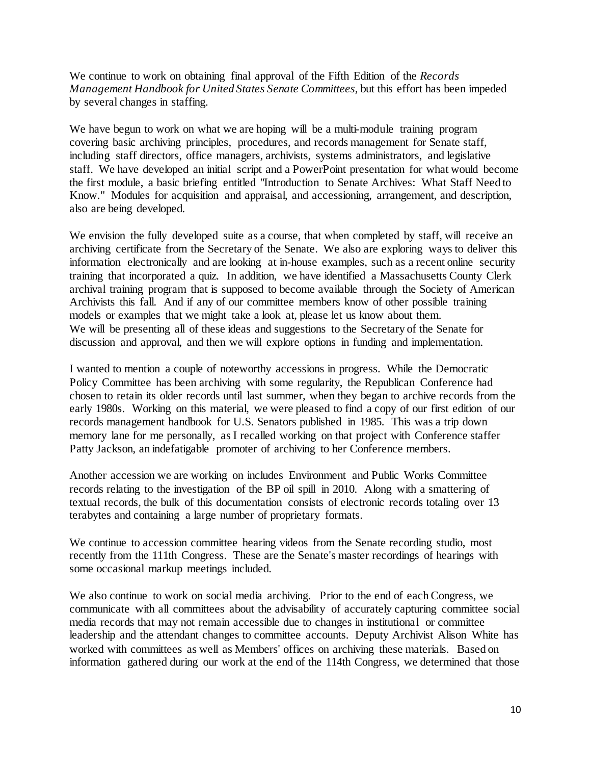We continue to work on obtaining final approval of the Fifth Edition of the *Records Management Handbook for United States Senate Committees,* but this effort has been impeded by several changes in staffing.

We have begun to work on what we are hoping will be a multi-module training program covering basic archiving principles, procedures, and records management for Senate staff, including staff directors, office managers, archivists, systems administrators, and legislative staff. We have developed an initial script and a PowerPoint presentation for what would become the first module, a basic briefing entitled "Introduction to Senate Archives: What Staff Need to Know." Modules for acquisition and appraisal, and accessioning, arrangement, and description, also are being developed.

We envision the fully developed suite as a course, that when completed by staff, will receive an archiving certificate from the Secretary of the Senate. We also are exploring ways to deliver this information electronically and are looking at in-house examples, such as a recent online security training that incorporated a quiz. In addition, we have identified a Massachusetts County Clerk archival training program that is supposed to become available through the Society of American Archivists this fall. And if any of our committee members know of other possible training models or examples that we might take a look at, please let us know about them. We will be presenting all of these ideas and suggestions to the Secretary of the Senate for discussion and approval, and then we will explore options in funding and implementation.

I wanted to mention a couple of noteworthy accessions in progress. While the Democratic Policy Committee has been archiving with some regularity, the Republican Conference had chosen to retain its older records until last summer, when they began to archive records from the early 1980s. Working on this material, we were pleased to find a copy of our first edition of our records management handbook for U.S. Senators published in 1985. This was a trip down memory lane for me personally, as I recalled working on that project with Conference staffer Patty Jackson, an indefatigable promoter of archiving to her Conference members.

Another accession we are working on includes Environment and Public Works Committee records relating to the investigation of the BP oil spill in 2010. Along with a smattering of textual records, the bulk of this documentation consists of electronic records totaling over 13 terabytes and containing a large number of proprietary formats.

We continue to accession committee hearing videos from the Senate recording studio, most recently from the 111th Congress. These are the Senate's master recordings of hearings with some occasional markup meetings included.

We also continue to work on social media archiving. Prior to the end of each Congress, we communicate with all committees about the advisability of accurately capturing committee social media records that may not remain accessible due to changes in institutional or committee leadership and the attendant changes to committee accounts. Deputy Archivist Alison White has worked with committees as well as Members' offices on archiving these materials. Based on information gathered during our work at the end of the 114th Congress, we determined that those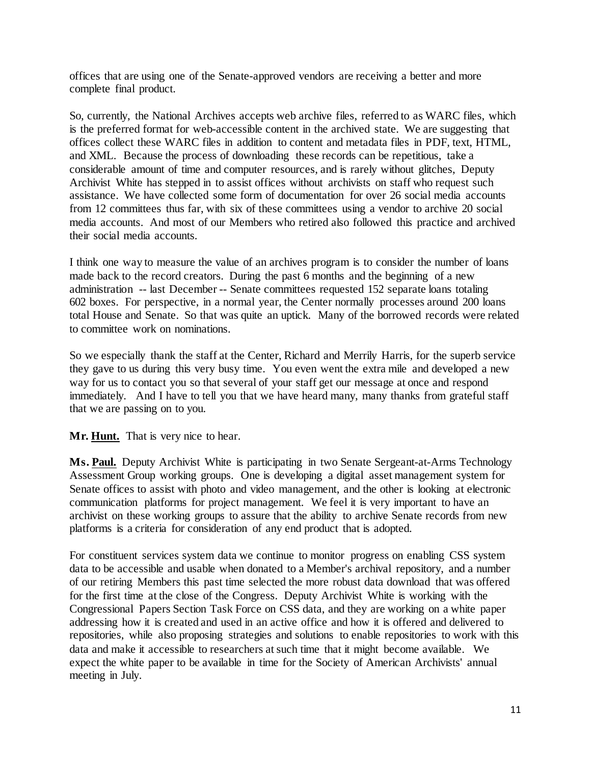offices that are using one of the Senate-approved vendors are receiving a better and more complete final product.

So, currently, the National Archives accepts web archive files, referred to as WARC files, which is the preferred format for web-accessible content in the archived state. We are suggesting that offices collect these WARC files in addition to content and metadata files in PDF, text, HTML, and XML. Because the process of downloading these records can be repetitious, take a considerable amount of time and computer resources, and is rarely without glitches, Deputy Archivist White has stepped in to assist offices without archivists on staff who request such assistance. We have collected some form of documentation for over 26 social media accounts from 12 committees thus far, with six of these committees using a vendor to archive 20 social media accounts. And most of our Members who retired also followed this practice and archived their social media accounts.

I think one way to measure the value of an archives program is to consider the number of loans made back to the record creators. During the past 6 months and the beginning of a new administration -- last December -- Senate committees requested 152 separate loans totaling 602 boxes. For perspective, in a normal year, the Center normally processes around 200 loans total House and Senate. So that was quite an uptick. Many of the borrowed records were related to committee work on nominations.

So we especially thank the staff at the Center, Richard and Merrily Harris, for the superb service they gave to us during this very busy time. You even went the extra mile and developed a new way for us to contact you so that several of your staff get our message at once and respond immediately. And I have to tell you that we have heard many, many thanks from grateful staff that we are passing on to you.

**Mr. Hunt.** That is very nice to hear.

**Ms. Paul.** Deputy Archivist White is participating in two Senate Sergeant-at-Arms Technology Assessment Group working groups. One is developing a digital asset management system for Senate offices to assist with photo and video management, and the other is looking at electronic communication platforms for project management. We feel it is very important to have an archivist on these working groups to assure that the ability to archive Senate records from new platforms is a criteria for consideration of any end product that is adopted.

For constituent services system data we continue to monitor progress on enabling CSS system data to be accessible and usable when donated to a Member's archival repository, and a number of our retiring Members this past time selected the more robust data download that was offered for the first time at the close of the Congress. Deputy Archivist White is working with the Congressional Papers Section Task Force on CSS data, and they are working on a white paper addressing how it is created and used in an active office and how it is offered and delivered to repositories, while also proposing strategies and solutions to enable repositories to work with this data and make it accessible to researchers at such time that it might become available. We expect the white paper to be available in time for the Society of American Archivists' annual meeting in July.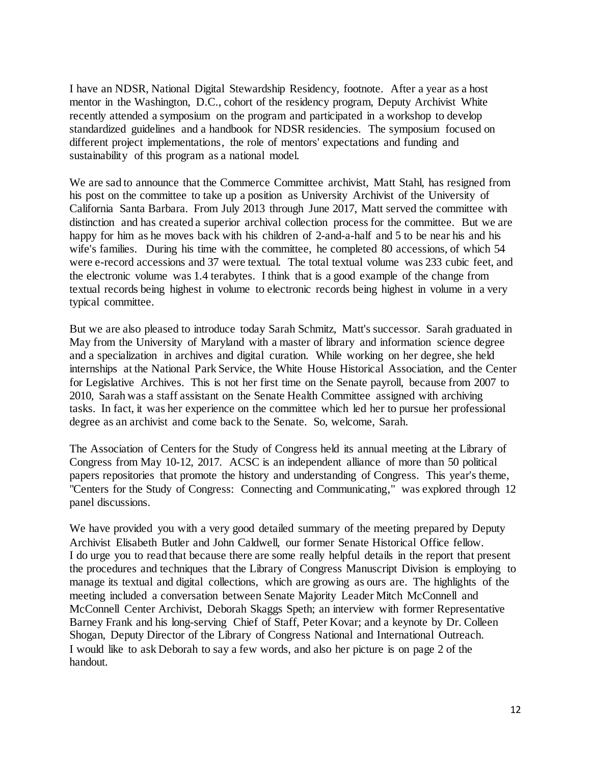I have an NDSR, National Digital Stewardship Residency, footnote. After a year as a host mentor in the Washington, D.C., cohort of the residency program, Deputy Archivist White recently attended a symposium on the program and participated in a workshop to develop standardized guidelines and a handbook for NDSR residencies. The symposium focused on different project implementations, the role of mentors' expectations and funding and sustainability of this program as a national model.

We are sad to announce that the Commerce Committee archivist, Matt Stahl, has resigned from his post on the committee to take up a position as University Archivist of the University of California Santa Barbara. From July 2013 through June 2017, Matt served the committee with distinction and has created a superior archival collection process for the committee. But we are happy for him as he moves back with his children of 2-and-a-half and 5 to be near his and his wife's families. During his time with the committee, he completed 80 accessions, of which 54 were e-record accessions and 37 were textual. The total textual volume was 233 cubic feet, and the electronic volume was 1.4 terabytes. I think that is a good example of the change from textual records being highest in volume to electronic records being highest in volume in a very typical committee.

But we are also pleased to introduce today Sarah Schmitz, Matt's successor. Sarah graduated in May from the University of Maryland with a master of library and information science degree and a specialization in archives and digital curation. While working on her degree, she held internships at the National Park Service, the White House Historical Association, and the Center for Legislative Archives. This is not her first time on the Senate payroll, because from 2007 to 2010, Sarah was a staff assistant on the Senate Health Committee assigned with archiving tasks. In fact, it was her experience on the committee which led her to pursue her professional degree as an archivist and come back to the Senate. So, welcome, Sarah.

The Association of Centers for the Study of Congress held its annual meeting at the Library of Congress from May 10-12, 2017. ACSC is an independent alliance of more than 50 political papers repositories that promote the history and understanding of Congress. This year's theme, "Centers for the Study of Congress: Connecting and Communicating," was explored through 12 panel discussions.

We have provided you with a very good detailed summary of the meeting prepared by Deputy Archivist Elisabeth Butler and John Caldwell, our former Senate Historical Office fellow. I do urge you to read that because there are some really helpful details in the report that present the procedures and techniques that the Library of Congress Manuscript Division is employing to manage its textual and digital collections, which are growing as ours are. The highlights of the meeting included a conversation between Senate Majority Leader Mitch McConnell and McConnell Center Archivist, Deborah Skaggs Speth; an interview with former Representative Barney Frank and his long-serving Chief of Staff, Peter Kovar; and a keynote by Dr. Colleen Shogan, Deputy Director of the Library of Congress National and International Outreach. I would like to ask Deborah to say a few words, and also her picture is on page 2 of the handout.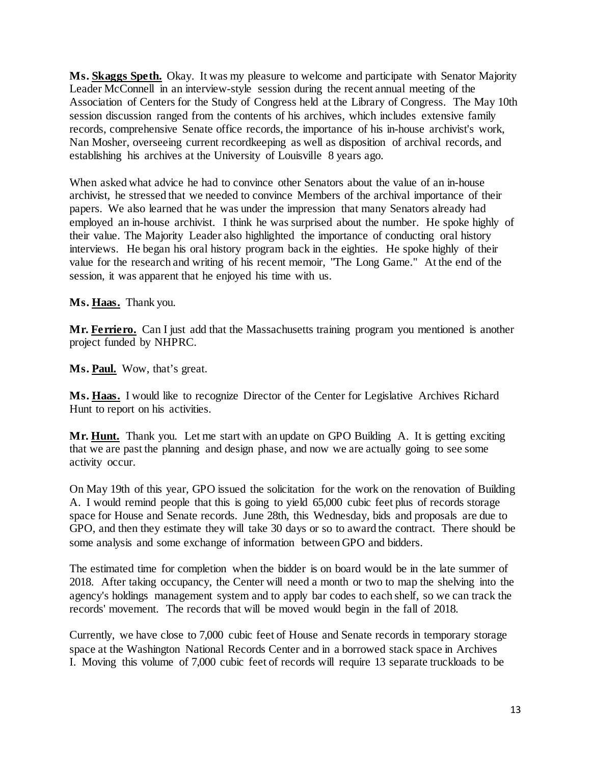**Ms. Skaggs Speth.** Okay. It was my pleasure to welcome and participate with Senator Majority Leader McConnell in an interview-style session during the recent annual meeting of the Association of Centers for the Study of Congress held at the Library of Congress. The May 10th session discussion ranged from the contents of his archives, which includes extensive family records, comprehensive Senate office records, the importance of his in-house archivist's work, Nan Mosher, overseeing current recordkeeping as well as disposition of archival records, and establishing his archives at the University of Louisville 8 years ago.

When asked what advice he had to convince other Senators about the value of an in-house archivist, he stressed that we needed to convince Members of the archival importance of their papers. We also learned that he was under the impression that many Senators already had employed an in-house archivist. I think he was surprised about the number. He spoke highly of their value. The Majority Leader also highlighted the importance of conducting oral history interviews. He began his oral history program back in the eighties. He spoke highly of their value for the research and writing of his recent memoir, "The Long Game." At the end of the session, it was apparent that he enjoyed his time with us.

**Ms. Haas.** Thank you.

Mr. Ferriero. Can I just add that the Massachusetts training program you mentioned is another project funded by NHPRC.

**Ms. Paul.** Wow, that's great.

**Ms. Haas.** I would like to recognize Director of the Center for Legislative Archives Richard Hunt to report on his activities.

**Mr. Hunt.** Thank you. Let me start with an update on GPO Building A. It is getting exciting that we are past the planning and design phase, and now we are actually going to see some activity occur.

On May 19th of this year, GPO issued the solicitation for the work on the renovation of Building A. I would remind people that this is going to yield 65,000 cubic feet plus of records storage space for House and Senate records. June 28th, this Wednesday, bids and proposals are due to GPO, and then they estimate they will take 30 days or so to award the contract. There should be some analysis and some exchange of information between GPO and bidders.

The estimated time for completion when the bidder is on board would be in the late summer of 2018. After taking occupancy, the Center will need a month or two to map the shelving into the agency's holdings management system and to apply bar codes to each shelf, so we can track the records' movement. The records that will be moved would begin in the fall of 2018.

Currently, we have close to 7,000 cubic feet of House and Senate records in temporary storage space at the Washington National Records Center and in a borrowed stack space in Archives I. Moving this volume of 7,000 cubic feet of records will require 13 separate truckloads to be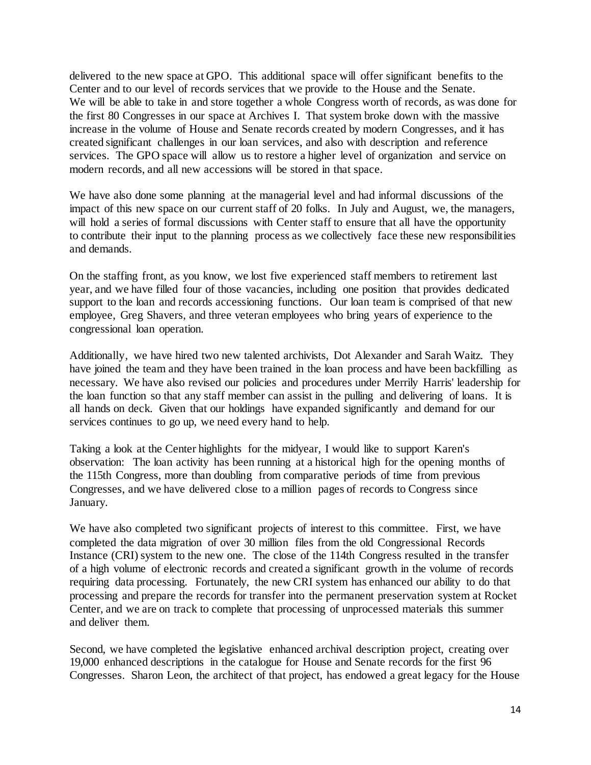delivered to the new space at GPO. This additional space will offer significant benefits to the Center and to our level of records services that we provide to the House and the Senate. We will be able to take in and store together a whole Congress worth of records, as was done for the first 80 Congresses in our space at Archives I. That system broke down with the massive increase in the volume of House and Senate records created by modern Congresses, and it has created significant challenges in our loan services, and also with description and reference services. The GPO space will allow us to restore a higher level of organization and service on modern records, and all new accessions will be stored in that space.

We have also done some planning at the managerial level and had informal discussions of the impact of this new space on our current staff of 20 folks. In July and August, we, the managers, will hold a series of formal discussions with Center staff to ensure that all have the opportunity to contribute their input to the planning process as we collectively face these new responsibilities and demands.

On the staffing front, as you know, we lost five experienced staff members to retirement last year, and we have filled four of those vacancies, including one position that provides dedicated support to the loan and records accessioning functions. Our loan team is comprised of that new employee, Greg Shavers, and three veteran employees who bring years of experience to the congressional loan operation.

Additionally, we have hired two new talented archivists, Dot Alexander and Sarah Waitz. They have joined the team and they have been trained in the loan process and have been backfilling as necessary. We have also revised our policies and procedures under Merrily Harris' leadership for the loan function so that any staff member can assist in the pulling and delivering of loans. It is all hands on deck. Given that our holdings have expanded significantly and demand for our services continues to go up, we need every hand to help.

Taking a look at the Center highlights for the midyear, I would like to support Karen's observation: The loan activity has been running at a historical high for the opening months of the 115th Congress, more than doubling from comparative periods of time from previous Congresses, and we have delivered close to a million pages of records to Congress since January.

We have also completed two significant projects of interest to this committee. First, we have completed the data migration of over 30 million files from the old Congressional Records Instance (CRI) system to the new one. The close of the 114th Congress resulted in the transfer of a high volume of electronic records and created a significant growth in the volume of records requiring data processing. Fortunately, the new CRI system has enhanced our ability to do that processing and prepare the records for transfer into the permanent preservation system at Rocket Center, and we are on track to complete that processing of unprocessed materials this summer and deliver them.

Second, we have completed the legislative enhanced archival description project, creating over 19,000 enhanced descriptions in the catalogue for House and Senate records for the first 96 Congresses. Sharon Leon, the architect of that project, has endowed a great legacy for the House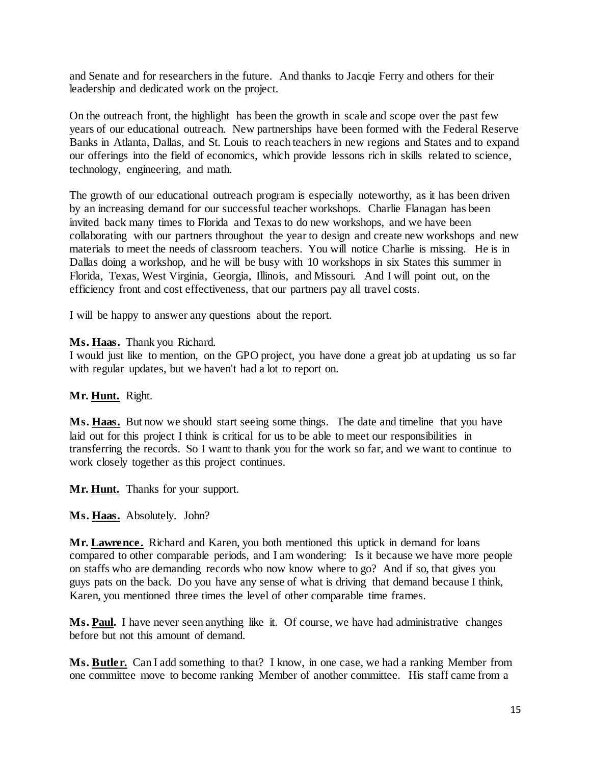and Senate and for researchers in the future. And thanks to Jacqie Ferry and others for their leadership and dedicated work on the project.

On the outreach front, the highlight has been the growth in scale and scope over the past few years of our educational outreach. New partnerships have been formed with the Federal Reserve Banks in Atlanta, Dallas, and St. Louis to reach teachers in new regions and States and to expand our offerings into the field of economics, which provide lessons rich in skills related to science, technology, engineering, and math.

The growth of our educational outreach program is especially noteworthy, as it has been driven by an increasing demand for our successful teacher workshops. Charlie Flanagan has been invited back many times to Florida and Texas to do new workshops, and we have been collaborating with our partners throughout the year to design and create new workshops and new materials to meet the needs of classroom teachers. You will notice Charlie is missing. He is in Dallas doing a workshop, and he will be busy with 10 workshops in six States this summer in Florida, Texas, West Virginia, Georgia, Illinois, and Missouri. And I will point out, on the efficiency front and cost effectiveness, that our partners pay all travel costs.

I will be happy to answer any questions about the report.

## **Ms. Haas.** Thank you Richard.

I would just like to mention, on the GPO project, you have done a great job at updating us so far with regular updates, but we haven't had a lot to report on.

## **Mr. Hunt.** Right.

Ms. Haas. But now we should start seeing some things. The date and timeline that you have laid out for this project I think is critical for us to be able to meet our responsibilities in transferring the records. So I want to thank you for the work so far, and we want to continue to work closely together as this project continues.

**Mr. Hunt.** Thanks for your support.

**Ms. Haas.** Absolutely. John?

**Mr. Lawrence.** Richard and Karen, you both mentioned this uptick in demand for loans compared to other comparable periods, and I am wondering: Is it because we have more people on staffs who are demanding records who now know where to go? And if so, that gives you guys pats on the back. Do you have any sense of what is driving that demand because I think, Karen, you mentioned three times the level of other comparable time frames.

**Ms. Paul.** I have never seen anything like it. Of course, we have had administrative changes before but not this amount of demand.

**Ms. Butler.** Can I add something to that? I know, in one case, we had a ranking Member from one committee move to become ranking Member of another committee. His staff came from a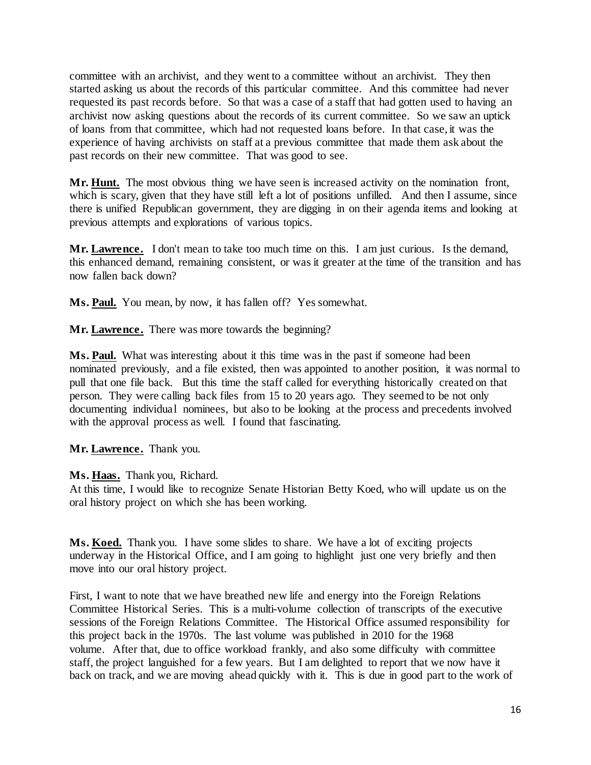committee with an archivist, and they went to a committee without an archivist. They then started asking us about the records of this particular committee. And this committee had never requested its past records before. So that was a case of a staff that had gotten used to having an archivist now asking questions about the records of its current committee. So we saw an uptick of loans from that committee, which had not requested loans before. In that case, it was the experience of having archivists on staff at a previous committee that made them ask about the past records on their new committee. That was good to see.

**Mr. Hunt.** The most obvious thing we have seen is increased activity on the nomination front, which is scary, given that they have still left a lot of positions unfilled. And then I assume, since there is unified Republican government, they are digging in on their agenda items and looking at previous attempts and explorations of various topics.

Mr. Lawrence. I don't mean to take too much time on this. I am just curious. Is the demand, this enhanced demand, remaining consistent, or was it greater at the time of the transition and has now fallen back down?

**Ms. Paul.** You mean, by now, it has fallen off? Yes somewhat.

**Mr. Lawrence.** There was more towards the beginning?

**Ms. Paul.** What was interesting about it this time was in the past if someone had been nominated previously, and a file existed, then was appointed to another position, it was normal to pull that one file back. But this time the staff called for everything historically created on that person. They were calling back files from 15 to 20 years ago. They seemed to be not only documenting individual nominees, but also to be looking at the process and precedents involved with the approval process as well. I found that fascinating.

# **Mr. Lawrence.** Thank you.

## **Ms. Haas.** Thank you, Richard.

At this time, I would like to recognize Senate Historian Betty Koed, who will update us on the oral history project on which she has been working.

**Ms. Koed.** Thank you. I have some slides to share. We have a lot of exciting projects underway in the Historical Office, and I am going to highlight just one very briefly and then move into our oral history project.

First, I want to note that we have breathed new life and energy into the Foreign Relations Committee Historical Series. This is a multi-volume collection of transcripts of the executive sessions of the Foreign Relations Committee. The Historical Office assumed responsibility for this project back in the 1970s. The last volume was published in 2010 for the 1968 volume. After that, due to office workload frankly, and also some difficulty with committee staff, the project languished for a few years. But I am delighted to report that we now have it back on track, and we are moving ahead quickly with it. This is due in good part to the work of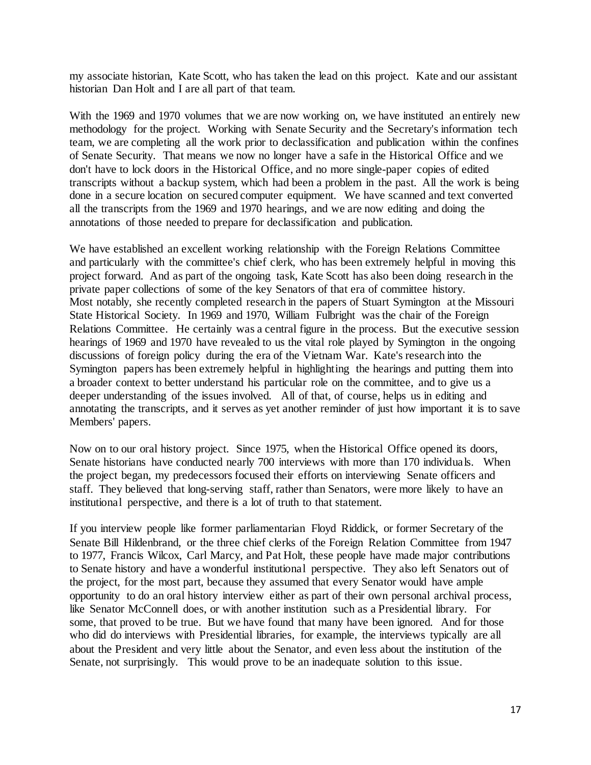my associate historian, Kate Scott, who has taken the lead on this project. Kate and our assistant historian Dan Holt and I are all part of that team.

With the 1969 and 1970 volumes that we are now working on, we have instituted an entirely new methodology for the project. Working with Senate Security and the Secretary's information tech team, we are completing all the work prior to declassification and publication within the confines of Senate Security. That means we now no longer have a safe in the Historical Office and we don't have to lock doors in the Historical Office, and no more single-paper copies of edited transcripts without a backup system, which had been a problem in the past. All the work is being done in a secure location on secured computer equipment. We have scanned and text converted all the transcripts from the 1969 and 1970 hearings, and we are now editing and doing the annotations of those needed to prepare for declassification and publication.

We have established an excellent working relationship with the Foreign Relations Committee and particularly with the committee's chief clerk, who has been extremely helpful in moving this project forward. And as part of the ongoing task, Kate Scott has also been doing research in the private paper collections of some of the key Senators of that era of committee history. Most notably, she recently completed research in the papers of Stuart Symington at the Missouri State Historical Society. In 1969 and 1970, William Fulbright was the chair of the Foreign Relations Committee. He certainly was a central figure in the process. But the executive session hearings of 1969 and 1970 have revealed to us the vital role played by Symington in the ongoing discussions of foreign policy during the era of the Vietnam War. Kate's research into the Symington papers has been extremely helpful in highlighting the hearings and putting them into a broader context to better understand his particular role on the committee, and to give us a deeper understanding of the issues involved. All of that, of course, helps us in editing and annotating the transcripts, and it serves as yet another reminder of just how important it is to save Members' papers.

Now on to our oral history project. Since 1975, when the Historical Office opened its doors, Senate historians have conducted nearly 700 interviews with more than 170 individuals. When the project began, my predecessors focused their efforts on interviewing Senate officers and staff. They believed that long-serving staff, rather than Senators, were more likely to have an institutional perspective, and there is a lot of truth to that statement.

If you interview people like former parliamentarian Floyd Riddick, or former Secretary of the Senate Bill Hildenbrand, or the three chief clerks of the Foreign Relation Committee from 1947 to 1977, Francis Wilcox, Carl Marcy, and Pat Holt, these people have made major contributions to Senate history and have a wonderful institutional perspective. They also left Senators out of the project, for the most part, because they assumed that every Senator would have ample opportunity to do an oral history interview either as part of their own personal archival process, like Senator McConnell does, or with another institution such as a Presidential library. For some, that proved to be true. But we have found that many have been ignored. And for those who did do interviews with Presidential libraries, for example, the interviews typically are all about the President and very little about the Senator, and even less about the institution of the Senate, not surprisingly. This would prove to be an inadequate solution to this issue.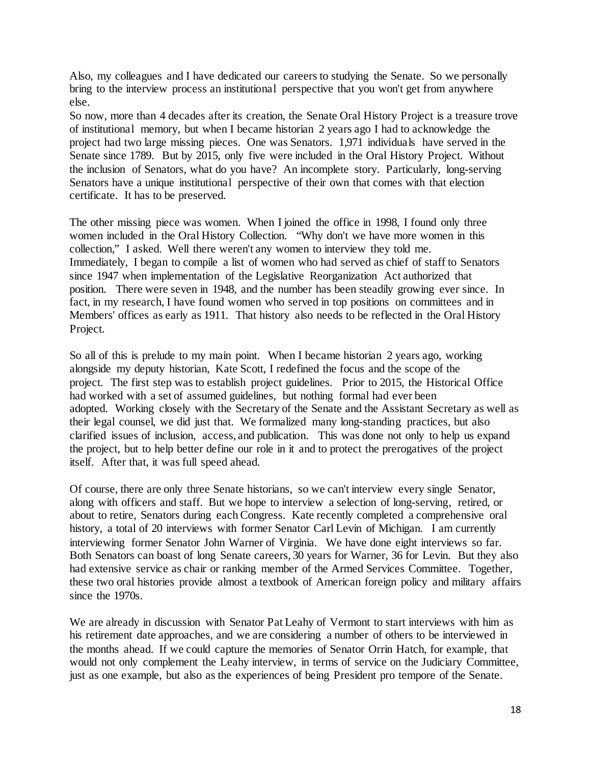Also, my colleagues and I have dedicated our careers to studying the Senate. So we personally bring to the interview process an institutional perspective that you won't get from anywhere else.

So now, more than 4 decades after its creation, the Senate Oral History Project is a treasure trove of institutional memory, but when I became historian 2 years ago I had to acknowledge the project had two large missing pieces. One was Senators. 1,971 individuals have served in the Senate since 1789. But by 2015, only five were included in the Oral History Project. Without the inclusion of Senators, what do you have? An incomplete story. Particularly, long-serving Senators have a unique institutional perspective of their own that comes with that election certificate. It has to be preserved.

The other missing piece was women. When I joined the office in 1998, I found only three women included in the Oral History Collection. "Why don't we have more women in this collection," I asked. Well there weren't any women to interview they told me. Immediately, I began to compile a list of women who had served as chief of staff to Senators since 1947 when implementation of the Legislative Reorganization Act authorized that position. There were seven in 1948, and the number has been steadily growing ever since. In fact, in my research, I have found women who served in top positions on committees and in Members' offices as early as 1911. That history also needs to be reflected in the Oral History Project.

So all of this is prelude to my main point. When I became historian 2 years ago, working alongside my deputy historian, Kate Scott, I redefined the focus and the scope of the project. The first step was to establish project guidelines. Prior to 2015, the Historical Office had worked with a set of assumed guidelines, but nothing formal had ever been adopted. Working closely with the Secretary of the Senate and the Assistant Secretary as well as their legal counsel, we did just that. We formalized many long-standing practices, but also clarified issues of inclusion, access, and publication. This was done not only to help us expand the project, but to help better define our role in it and to protect the prerogatives of the project itself. After that, it was full speed ahead.

Of course, there are only three Senate historians, so we can't interview every single Senator, along with officers and staff. But we hope to interview a selection of long-serving, retired, or about to retire, Senators during each Congress. Kate recently completed a comprehensive oral history, a total of 20 interviews with former Senator Carl Levin of Michigan. I am currently interviewing former Senator John Warner of Virginia. We have done eight interviews so far. Both Senators can boast of long Senate careers, 30 years for Warner, 36 for Levin. But they also had extensive service as chair or ranking member of the Armed Services Committee. Together, these two oral histories provide almost a textbook of American foreign policy and military affairs since the 1970s.

We are already in discussion with Senator Pat Leahy of Vermont to start interviews with him as his retirement date approaches, and we are considering a number of others to be interviewed in the months ahead. If we could capture the memories of Senator Orrin Hatch, for example, that would not only complement the Leahy interview, in terms of service on the Judiciary Committee, just as one example, but also as the experiences of being President pro tempore of the Senate.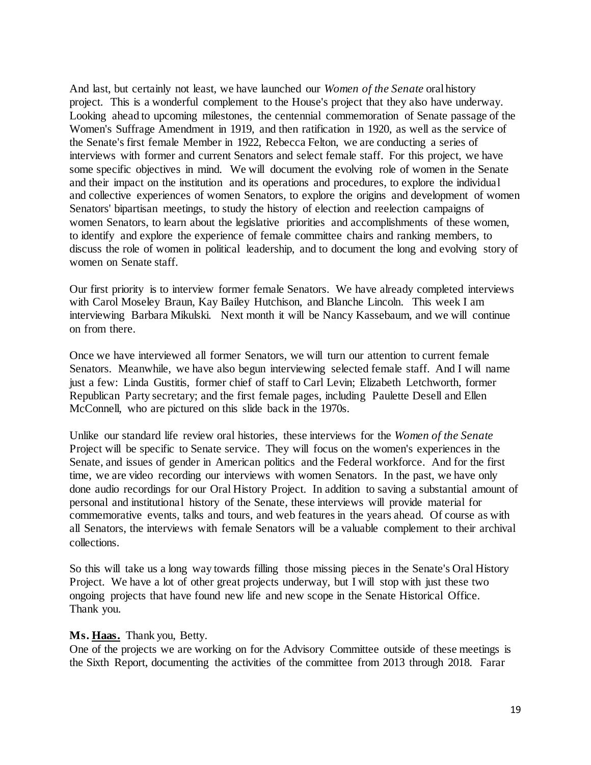And last, but certainly not least, we have launched our *Women of the Senate* oral history project. This is a wonderful complement to the House's project that they also have underway. Looking ahead to upcoming milestones, the centennial commemoration of Senate passage of the Women's Suffrage Amendment in 1919, and then ratification in 1920, as well as the service of the Senate's first female Member in 1922, Rebecca Felton, we are conducting a series of interviews with former and current Senators and select female staff. For this project, we have some specific objectives in mind. We will document the evolving role of women in the Senate and their impact on the institution and its operations and procedures, to explore the individual and collective experiences of women Senators, to explore the origins and development of women Senators' bipartisan meetings, to study the history of election and reelection campaigns of women Senators, to learn about the legislative priorities and accomplishments of these women, to identify and explore the experience of female committee chairs and ranking members, to discuss the role of women in political leadership, and to document the long and evolving story of women on Senate staff.

Our first priority is to interview former female Senators. We have already completed interviews with Carol Moseley Braun, Kay Bailey Hutchison, and Blanche Lincoln. This week I am interviewing Barbara Mikulski. Next month it will be Nancy Kassebaum, and we will continue on from there.

Once we have interviewed all former Senators, we will turn our attention to current female Senators. Meanwhile, we have also begun interviewing selected female staff. And I will name just a few: Linda Gustitis, former chief of staff to Carl Levin; Elizabeth Letchworth, former Republican Party secretary; and the first female pages, including Paulette Desell and Ellen McConnell, who are pictured on this slide back in the 1970s.

Unlike our standard life review oral histories, these interviews for the *Women of the Senate* Project will be specific to Senate service. They will focus on the women's experiences in the Senate, and issues of gender in American politics and the Federal workforce. And for the first time, we are video recording our interviews with women Senators. In the past, we have only done audio recordings for our Oral History Project. In addition to saving a substantial amount of personal and institutional history of the Senate, these interviews will provide material for commemorative events, talks and tours, and web features in the years ahead. Of course as with all Senators, the interviews with female Senators will be a valuable complement to their archival collections.

So this will take us a long way towards filling those missing pieces in the Senate's Oral History Project. We have a lot of other great projects underway, but I will stop with just these two ongoing projects that have found new life and new scope in the Senate Historical Office. Thank you.

#### **Ms. Haas.** Thank you, Betty.

One of the projects we are working on for the Advisory Committee outside of these meetings is the Sixth Report, documenting the activities of the committee from 2013 through 2018. Farar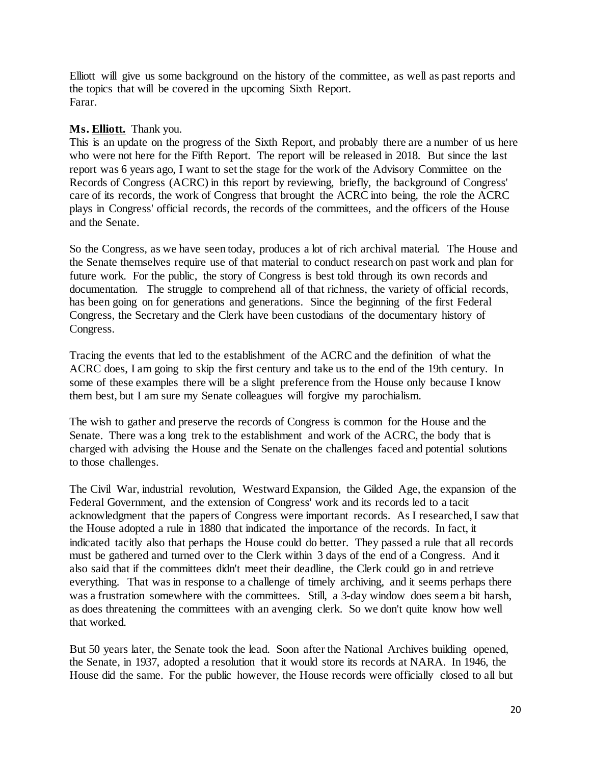Elliott will give us some background on the history of the committee, as well as past reports and the topics that will be covered in the upcoming Sixth Report. Farar.

## **Ms. Elliott.** Thank you.

This is an update on the progress of the Sixth Report, and probably there are a number of us here who were not here for the Fifth Report. The report will be released in 2018. But since the last report was 6 years ago, I want to set the stage for the work of the Advisory Committee on the Records of Congress (ACRC) in this report by reviewing, briefly, the background of Congress' care of its records, the work of Congress that brought the ACRC into being, the role the ACRC plays in Congress' official records, the records of the committees, and the officers of the House and the Senate.

So the Congress, as we have seen today, produces a lot of rich archival material. The House and the Senate themselves require use of that material to conduct research on past work and plan for future work. For the public, the story of Congress is best told through its own records and documentation. The struggle to comprehend all of that richness, the variety of official records, has been going on for generations and generations. Since the beginning of the first Federal Congress, the Secretary and the Clerk have been custodians of the documentary history of Congress.

Tracing the events that led to the establishment of the ACRC and the definition of what the ACRC does, I am going to skip the first century and take us to the end of the 19th century. In some of these examples there will be a slight preference from the House only because I know them best, but I am sure my Senate colleagues will forgive my parochialism.

The wish to gather and preserve the records of Congress is common for the House and the Senate. There was a long trek to the establishment and work of the ACRC, the body that is charged with advising the House and the Senate on the challenges faced and potential solutions to those challenges.

The Civil War, industrial revolution, Westward Expansion, the Gilded Age, the expansion of the Federal Government, and the extension of Congress' work and its records led to a tacit acknowledgment that the papers of Congress were important records. As I researched, I saw that the House adopted a rule in 1880 that indicated the importance of the records. In fact, it indicated tacitly also that perhaps the House could do better. They passed a rule that all records must be gathered and turned over to the Clerk within 3 days of the end of a Congress. And it also said that if the committees didn't meet their deadline, the Clerk could go in and retrieve everything. That was in response to a challenge of timely archiving, and it seems perhaps there was a frustration somewhere with the committees. Still, a 3-day window does seem a bit harsh, as does threatening the committees with an avenging clerk. So we don't quite know how well that worked.

But 50 years later, the Senate took the lead. Soon after the National Archives building opened, the Senate, in 1937, adopted a resolution that it would store its records at NARA. In 1946, the House did the same. For the public however, the House records were officially closed to all but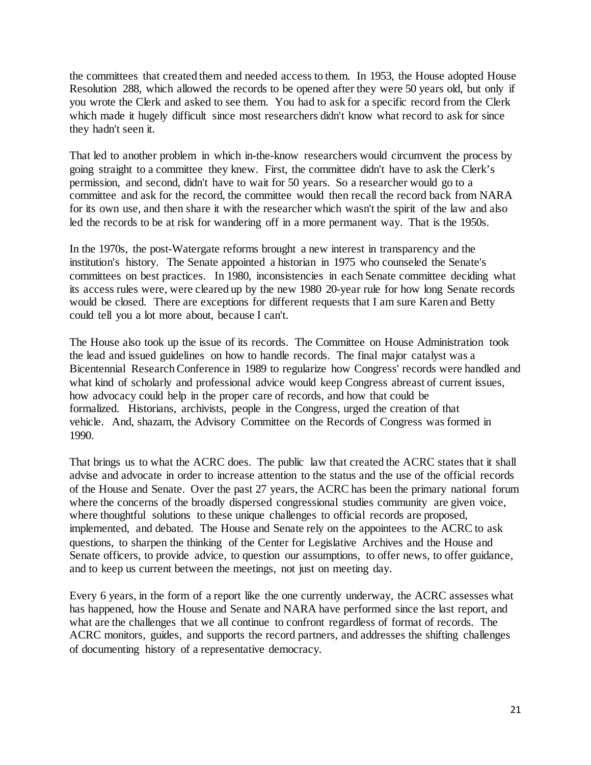the committees that created them and needed access to them. In 1953, the House adopted House Resolution 288, which allowed the records to be opened after they were 50 years old, but only if you wrote the Clerk and asked to see them. You had to ask for a specific record from the Clerk which made it hugely difficult since most researchers didn't know what record to ask for since they hadn't seen it.

That led to another problem in which in-the-know researchers would circumvent the process by going straight to a committee they knew. First, the committee didn't have to ask the Clerk's permission, and second, didn't have to wait for 50 years. So a researcher would go to a committee and ask for the record, the committee would then recall the record back from NARA for its own use, and then share it with the researcher which wasn't the spirit of the law and also led the records to be at risk for wandering off in a more permanent way. That is the 1950s.

In the 1970s, the post-Watergate reforms brought a new interest in transparency and the institution's history. The Senate appointed a historian in 1975 who counseled the Senate's committees on best practices. In 1980, inconsistencies in each Senate committee deciding what its access rules were, were cleared up by the new 1980 20-year rule for how long Senate records would be closed. There are exceptions for different requests that I am sure Karen and Betty could tell you a lot more about, because I can't.

The House also took up the issue of its records. The Committee on House Administration took the lead and issued guidelines on how to handle records. The final major catalyst was a Bicentennial Research Conference in 1989 to regularize how Congress' records were handled and what kind of scholarly and professional advice would keep Congress abreast of current issues, how advocacy could help in the proper care of records, and how that could be formalized. Historians, archivists, people in the Congress, urged the creation of that vehicle. And, shazam, the Advisory Committee on the Records of Congress was formed in 1990.

That brings us to what the ACRC does. The public law that created the ACRC states that it shall advise and advocate in order to increase attention to the status and the use of the official records of the House and Senate. Over the past 27 years, the ACRC has been the primary national forum where the concerns of the broadly dispersed congressional studies community are given voice, where thoughtful solutions to these unique challenges to official records are proposed, implemented, and debated. The House and Senate rely on the appointees to the ACRC to ask questions, to sharpen the thinking of the Center for Legislative Archives and the House and Senate officers, to provide advice, to question our assumptions, to offer news, to offer guidance, and to keep us current between the meetings, not just on meeting day.

Every 6 years, in the form of a report like the one currently underway, the ACRC assesses what has happened, how the House and Senate and NARA have performed since the last report, and what are the challenges that we all continue to confront regardless of format of records. The ACRC monitors, guides, and supports the record partners, and addresses the shifting challenges of documenting history of a representative democracy.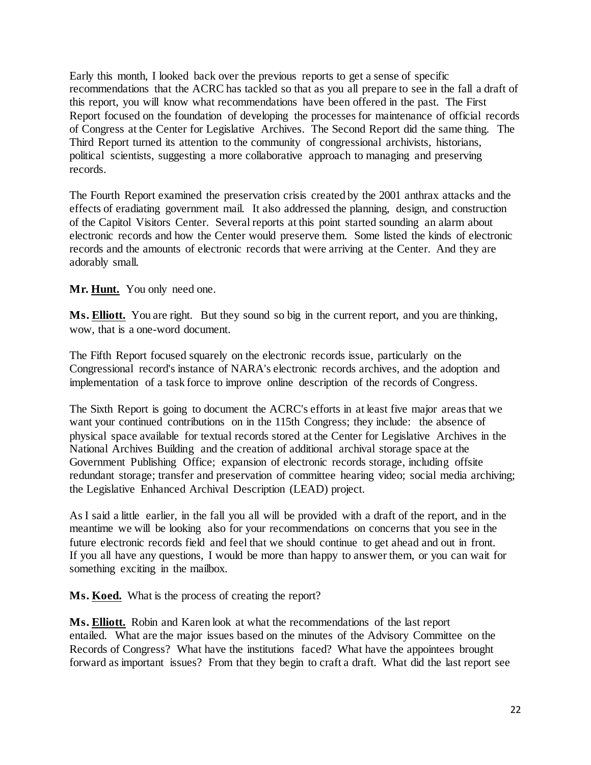Early this month, I looked back over the previous reports to get a sense of specific recommendations that the ACRC has tackled so that as you all prepare to see in the fall a draft of this report, you will know what recommendations have been offered in the past. The First Report focused on the foundation of developing the processes for maintenance of official records of Congress at the Center for Legislative Archives. The Second Report did the same thing. The Third Report turned its attention to the community of congressional archivists, historians, political scientists, suggesting a more collaborative approach to managing and preserving records.

The Fourth Report examined the preservation crisis created by the 2001 anthrax attacks and the effects of eradiating government mail. It also addressed the planning, design, and construction of the Capitol Visitors Center. Several reports at this point started sounding an alarm about electronic records and how the Center would preserve them. Some listed the kinds of electronic records and the amounts of electronic records that were arriving at the Center. And they are adorably small.

# **Mr. Hunt.** You only need one.

**Ms. Elliott.** You are right. But they sound so big in the current report, and you are thinking, wow, that is a one-word document.

The Fifth Report focused squarely on the electronic records issue, particularly on the Congressional record's instance of NARA's electronic records archives, and the adoption and implementation of a task force to improve online description of the records of Congress.

The Sixth Report is going to document the ACRC's efforts in at least five major areas that we want your continued contributions on in the 115th Congress; they include: the absence of physical space available for textual records stored at the Center for Legislative Archives in the National Archives Building and the creation of additional archival storage space at the Government Publishing Office; expansion of electronic records storage, including offsite redundant storage; transfer and preservation of committee hearing video; social media archiving; the Legislative Enhanced Archival Description (LEAD) project.

As I said a little earlier, in the fall you all will be provided with a draft of the report, and in the meantime we will be looking also for your recommendations on concerns that you see in the future electronic records field and feel that we should continue to get ahead and out in front. If you all have any questions, I would be more than happy to answer them, or you can wait for something exciting in the mailbox.

**Ms. Koed.** What is the process of creating the report?

**Ms. Elliott.** Robin and Karen look at what the recommendations of the last report entailed. What are the major issues based on the minutes of the Advisory Committee on the Records of Congress? What have the institutions faced? What have the appointees brought forward as important issues? From that they begin to craft a draft. What did the last report see